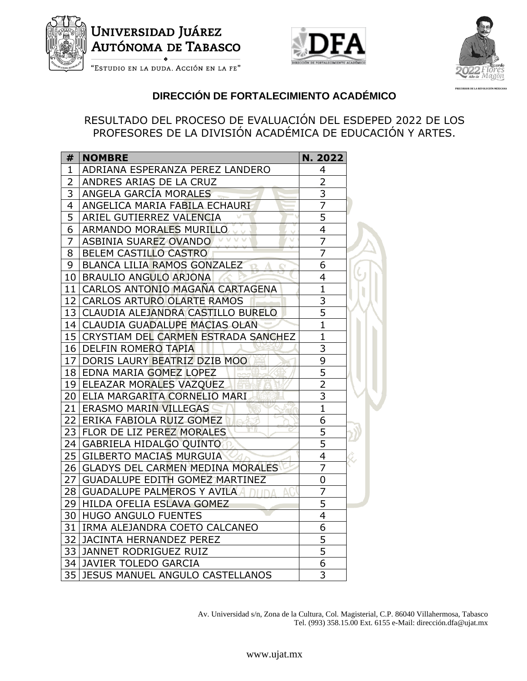

## Universidad Juáre<mark>z</mark> **AUTÓNOMA DE TABASCO**





**PRECURSOR DE LA REVOLUCIÓN MEXICANA**

"Estudio en la duda. Acción en la fe"

## **DIRECCIÓN DE FORTALECIMIENTO ACADÉMICO**

RESULTADO DEL PROCESO DE EVALUACIÓN DEL ESDEPED 2022 DE LOS PROFESORES DE LA DIVISIÓN ACADÉMICA DE EDUCACIÓN Y ARTES.

| #              | <b>NOMBRE</b>                             | N. 2022        |  |
|----------------|-------------------------------------------|----------------|--|
| 1              | ADRIANA ESPERANZA PEREZ LANDERO           | 4              |  |
| $\overline{2}$ | ANDRES ARIAS DE LA CRUZ                   | 2              |  |
| 3              | ANGELA GARCÍA MORALES                     | $\overline{3}$ |  |
| $\overline{4}$ | ANGELICA MARIA FABILA ECHAURI             | $\overline{7}$ |  |
| $\overline{5}$ | ARIEL GUTIERREZ VALENCIA                  | $\overline{5}$ |  |
| 6              | ARMANDO MORALES MURILLO                   | $\overline{4}$ |  |
| $\overline{7}$ | ASBINIA SUAREZ OVANDO                     | $\overline{7}$ |  |
| 8              | BELEM CASTILLO CASTRO                     | $\overline{7}$ |  |
| 9              | BLANCA LILIA RAMOS GONZALEZ               | 6              |  |
|                | 10 BRAULIO ANGULO ARJONA                  | $\overline{4}$ |  |
|                | 11 CARLOS ANTONIO MAGAÑA CARTAGENA        | $\overline{1}$ |  |
|                | 12 CARLOS ARTURO OLARTE RAMOS             | $\overline{3}$ |  |
|                | 13 CLAUDIA ALEJANDRA CASTILLO BURELO      | $\overline{5}$ |  |
|                | 14 CLAUDIA GUADALUPE MACIAS OLAN          | $\overline{1}$ |  |
|                | 15 CRYSTIAM DEL CARMEN ESTRADA SANCHEZ    | $\overline{1}$ |  |
|                | 16 DELFIN ROMERO TAPIA                    | $\overline{3}$ |  |
|                | 17 DORIS LAURY BEATRIZ DZIB MOO           | $\overline{9}$ |  |
|                | 18 EDNA MARIA GOMEZ LOPEZ                 | $\frac{5}{2}$  |  |
|                | 19 ELEAZAR MORALES VAZQUEZ                |                |  |
|                | 20 ELIA MARGARITA CORNELIO MARI           | $\overline{3}$ |  |
|                | 21 ERASMO MARIN VILLEGAS                  | $\overline{1}$ |  |
|                | 22 ERIKA FABIOLA RUIZ GOMEZ<br>$\sqrt{a}$ | 6              |  |
|                | МW<br>23 FLOR DE LIZ PEREZ MORALES        | $\overline{5}$ |  |
|                | 24 GABRIELA HIDALGO QUINTO                | $\overline{5}$ |  |
|                | 25 GILBERTO MACIAS MURGUIA                | $\overline{4}$ |  |
|                | 26 GLADYS DEL CARMEN MEDINA MORALES       | $\overline{7}$ |  |
|                | 27   GUADALUPE EDITH GOMEZ MARTINEZ       | $\overline{0}$ |  |
|                | 28   GUADALUPE PALMEROS Y AVILA A         | $\overline{7}$ |  |
|                | 29 HILDA OFELIA ESLAVA GOMEZ              | $\overline{5}$ |  |
|                | 30 HUGO ANGULO FUENTES                    | $\frac{4}{6}$  |  |
|                | 31   IRMA ALEJANDRA COETO CALCANEO        |                |  |
|                | 32 JACINTA HERNANDEZ PEREZ                | $\overline{5}$ |  |
|                | 33 JANNET RODRIGUEZ RUIZ                  | $\overline{5}$ |  |
|                | 34 JAVIER TOLEDO GARCIA                   | 6              |  |
|                | 35 JESUS MANUEL ANGULO CASTELLANOS        | 3              |  |

Av. Universidad s/n, Zona de la Cultura, Col. Magisterial, C.P. 86040 Villahermosa, Tabasco Tel. (993) 358.15.00 Ext. 6155 e-Mail: dirección.dfa@ujat.mx